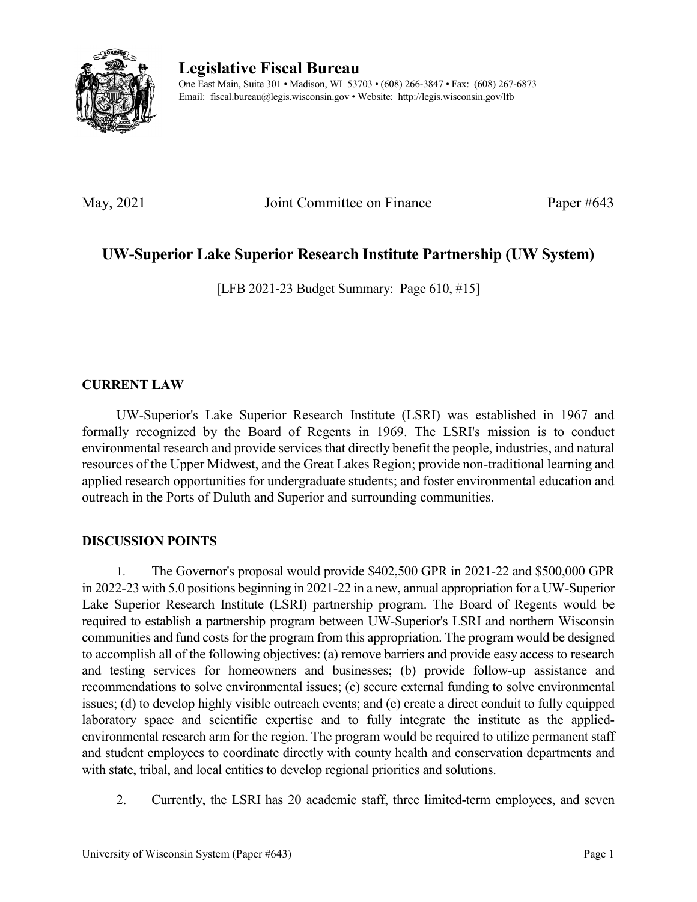

**Legislative Fiscal Bureau**

One East Main, Suite 301 • Madison, WI 53703 • (608) 266-3847 • Fax: (608) 267-6873 Email: fiscal.bureau@legis.wisconsin.gov • Website:<http://legis.wisconsin.gov/lfb>

May, 2021 Joint Committee on Finance Paper #643

## **UW-Superior Lake Superior Research Institute Partnership (UW System)**

[LFB 2021-23 Budget Summary: Page 610, #15]

## **CURRENT LAW**

UW-Superior's Lake Superior Research Institute (LSRI) was established in 1967 and formally recognized by the Board of Regents in 1969. The LSRI's mission is to conduct environmental research and provide services that directly benefit the people, industries, and natural resources of the Upper Midwest, and the Great Lakes Region; provide non-traditional learning and applied research opportunities for undergraduate students; and foster environmental education and outreach in the Ports of Duluth and Superior and surrounding communities.

## **DISCUSSION POINTS**

1. The Governor's proposal would provide \$402,500 GPR in 2021-22 and \$500,000 GPR in 2022-23 with 5.0 positions beginning in 2021-22 in a new, annual appropriation for a UW-Superior Lake Superior Research Institute (LSRI) partnership program. The Board of Regents would be required to establish a partnership program between UW-Superior's LSRI and northern Wisconsin communities and fund costs for the program from this appropriation. The program would be designed to accomplish all of the following objectives: (a) remove barriers and provide easy access to research and testing services for homeowners and businesses; (b) provide follow-up assistance and recommendations to solve environmental issues; (c) secure external funding to solve environmental issues; (d) to develop highly visible outreach events; and (e) create a direct conduit to fully equipped laboratory space and scientific expertise and to fully integrate the institute as the appliedenvironmental research arm for the region. The program would be required to utilize permanent staff and student employees to coordinate directly with county health and conservation departments and with state, tribal, and local entities to develop regional priorities and solutions.

2. Currently, the LSRI has 20 academic staff, three limited-term employees, and seven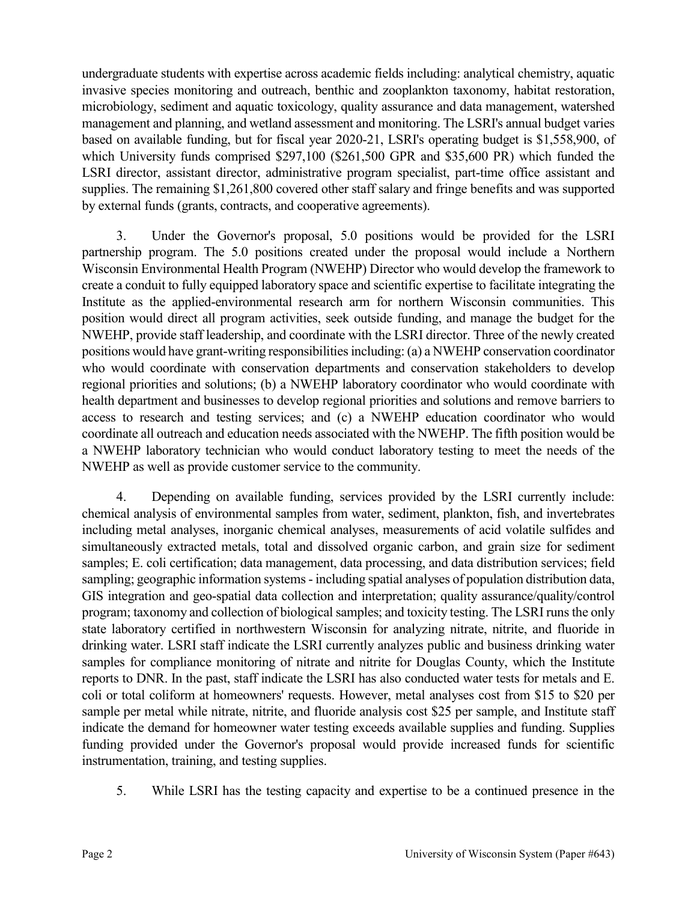undergraduate students with expertise across academic fields including: analytical chemistry, aquatic invasive species monitoring and outreach, benthic and zooplankton taxonomy, habitat restoration, microbiology, sediment and aquatic toxicology, quality assurance and data management, watershed management and planning, and wetland assessment and monitoring. The LSRI's annual budget varies based on available funding, but for fiscal year 2020-21, LSRI's operating budget is \$1,558,900, of which University funds comprised \$297,100 (\$261,500 GPR and \$35,600 PR) which funded the LSRI director, assistant director, administrative program specialist, part-time office assistant and supplies. The remaining \$1,261,800 covered other staff salary and fringe benefits and was supported by external funds (grants, contracts, and cooperative agreements).

3. Under the Governor's proposal, 5.0 positions would be provided for the LSRI partnership program. The 5.0 positions created under the proposal would include a Northern Wisconsin Environmental Health Program (NWEHP) Director who would develop the framework to create a conduit to fully equipped laboratory space and scientific expertise to facilitate integrating the Institute as the applied-environmental research arm for northern Wisconsin communities. This position would direct all program activities, seek outside funding, and manage the budget for the NWEHP, provide staff leadership, and coordinate with the LSRI director. Three of the newly created positions would have grant-writing responsibilities including: (a) a NWEHP conservation coordinator who would coordinate with conservation departments and conservation stakeholders to develop regional priorities and solutions; (b) a NWEHP laboratory coordinator who would coordinate with health department and businesses to develop regional priorities and solutions and remove barriers to access to research and testing services; and (c) a NWEHP education coordinator who would coordinate all outreach and education needs associated with the NWEHP. The fifth position would be a NWEHP laboratory technician who would conduct laboratory testing to meet the needs of the NWEHP as well as provide customer service to the community.

4. Depending on available funding, services provided by the LSRI currently include: chemical analysis of environmental samples from water, sediment, plankton, fish, and invertebrates including metal analyses, inorganic chemical analyses, measurements of acid volatile sulfides and simultaneously extracted metals, total and dissolved organic carbon, and grain size for sediment samples; E. coli certification; data management, data processing, and data distribution services; field sampling; geographic information systems- including spatial analyses of population distribution data, GIS integration and geo-spatial data collection and interpretation; quality assurance/quality/control program; taxonomy and collection of biological samples; and toxicity testing. The LSRI runs the only state laboratory certified in northwestern Wisconsin for analyzing nitrate, nitrite, and fluoride in drinking water. LSRI staff indicate the LSRI currently analyzes public and business drinking water samples for compliance monitoring of nitrate and nitrite for Douglas County, which the Institute reports to DNR. In the past, staff indicate the LSRI has also conducted water tests for metals and E. coli or total coliform at homeowners' requests. However, metal analyses cost from \$15 to \$20 per sample per metal while nitrate, nitrite, and fluoride analysis cost \$25 per sample, and Institute staff indicate the demand for homeowner water testing exceeds available supplies and funding. Supplies funding provided under the Governor's proposal would provide increased funds for scientific instrumentation, training, and testing supplies.

5. While LSRI has the testing capacity and expertise to be a continued presence in the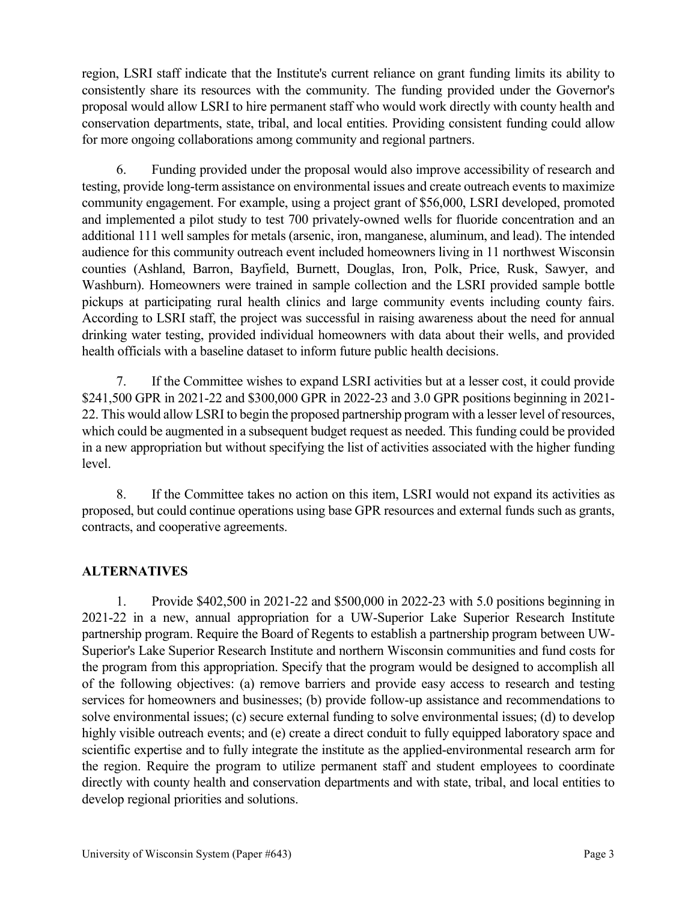region, LSRI staff indicate that the Institute's current reliance on grant funding limits its ability to consistently share its resources with the community. The funding provided under the Governor's proposal would allow LSRI to hire permanent staff who would work directly with county health and conservation departments, state, tribal, and local entities. Providing consistent funding could allow for more ongoing collaborations among community and regional partners.

6. Funding provided under the proposal would also improve accessibility of research and testing, provide long-term assistance on environmental issues and create outreach events to maximize community engagement. For example, using a project grant of \$56,000, LSRI developed, promoted and implemented a pilot study to test 700 privately-owned wells for fluoride concentration and an additional 111 well samples for metals (arsenic, iron, manganese, aluminum, and lead). The intended audience for this community outreach event included homeowners living in 11 northwest Wisconsin counties (Ashland, Barron, Bayfield, Burnett, Douglas, Iron, Polk, Price, Rusk, Sawyer, and Washburn). Homeowners were trained in sample collection and the LSRI provided sample bottle pickups at participating rural health clinics and large community events including county fairs. According to LSRI staff, the project was successful in raising awareness about the need for annual drinking water testing, provided individual homeowners with data about their wells, and provided health officials with a baseline dataset to inform future public health decisions.

7. If the Committee wishes to expand LSRI activities but at a lesser cost, it could provide \$241,500 GPR in 2021-22 and \$300,000 GPR in 2022-23 and 3.0 GPR positions beginning in 2021- 22. This would allow LSRI to begin the proposed partnership program with a lesser level of resources, which could be augmented in a subsequent budget request as needed. This funding could be provided in a new appropriation but without specifying the list of activities associated with the higher funding level.

8. If the Committee takes no action on this item, LSRI would not expand its activities as proposed, but could continue operations using base GPR resources and external funds such as grants, contracts, and cooperative agreements.

## **ALTERNATIVES**

1. Provide \$402,500 in 2021-22 and \$500,000 in 2022-23 with 5.0 positions beginning in 2021-22 in a new, annual appropriation for a UW-Superior Lake Superior Research Institute partnership program. Require the Board of Regents to establish a partnership program between UW-Superior's Lake Superior Research Institute and northern Wisconsin communities and fund costs for the program from this appropriation. Specify that the program would be designed to accomplish all of the following objectives: (a) remove barriers and provide easy access to research and testing services for homeowners and businesses; (b) provide follow-up assistance and recommendations to solve environmental issues; (c) secure external funding to solve environmental issues; (d) to develop highly visible outreach events; and (e) create a direct conduit to fully equipped laboratory space and scientific expertise and to fully integrate the institute as the applied-environmental research arm for the region. Require the program to utilize permanent staff and student employees to coordinate directly with county health and conservation departments and with state, tribal, and local entities to develop regional priorities and solutions.